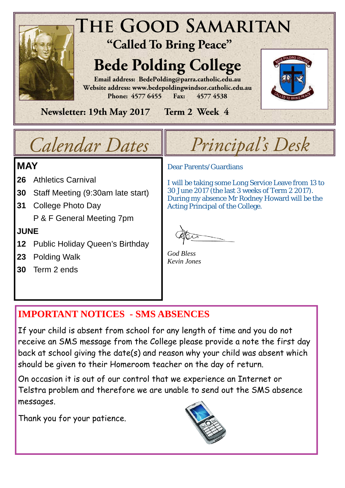

# *Calendar Dates Principal's Desk*

## **MAY**

- **26** Athletics Carnival
- **30** Staff Meeting (9:30am late start)
- **31** College Photo Day P & F General Meeting 7pm

### **JUNE**

- **12** Public Holiday Queen's Birthday
- **23** Polding Walk
- **30** Term 2 ends

Dear Parents/Guardians

I will be taking some Long Service Leave from 13 to 30 June 2017 (the last 3 weeks of Term 2 2017). During my absence Mr Rodney Howard will be the Acting Principal of the College.

*God Bless Kevin Jones* 

# **IMPORTANT NOTICES - SMS ABSENCES**

If your child is absent from school for any length of time and you do not receive an SMS message from the College please provide a note the first day back at school giving the date(s) and reason why your child was absent which should be given to their Homeroom teacher on the day of return.

On occasion it is out of our control that we experience an Internet or Telstra problem and therefore we are unable to send out the SMS absence messages.

Thank you for your patience.

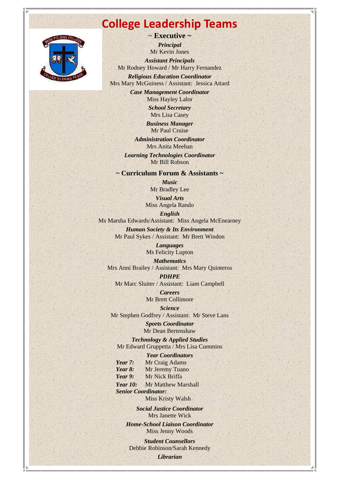# **College Leadership Teams**



~ **Executive ~** 

*Principal*  Mr Kevin Jones *Assistant Principals*  Mr Rodney Howard / Mr Harry Fernandez

*Religious Education Coordinator*  Mrs Mary McGuiness / Assistant: Jessica Attard

> *Case Management Coordinator*  Miss Hayley Lalor *School Secretary*

Mrs Lisa Casey

*Business Manager*  Mr Paul Cruise

*Administration Coordinator*  Mrs Anita Meehan

*Learning Technologies Coordinator*  Mr Bill Robson

**~ Curriculum Forum & Assistants ~** 

*Music*  Mr Bradley Lee *Visual Arts* 

Miss Angela Rando

*English* 

Ms Marsha Edwards/Assistant: Miss Angela McEnearney

*Human Society & Its Environment*  Mr Paul Sykes / Assistant: Mr Brett Windon

> *Languages*  Ms Felicity Lupton

*Mathematics*  Mrs Anni Brailey / Assistant: Mrs Mary Quinteros

*PDHPE*  Mr Marc Sluiter / Assistant: Liam Campbell

> *Careers*  Mr Brett Collimore

*Science*  Mr Stephen Godfrey / Assistant: Mr Steve Lans

> *Sports Coordinator*  Mr Dean Bertenshaw

*Technology & Applied Studies*  Mr Edward Gruppetta / Mrs Lisa Cummins

*Year Coordinators* 

*Year 7:* Mr Craig Adams Year 8: Mr Jeremy Tuano *Year 9:* Mr Nick Briffa *Year 10:* Mr Matthew Marshall

 *Senior Coordinator:*  **Miss Kristy Walsh** 

*Social Justice Coordinator* 

Mrs Janette Wick

*Home-School Liaison Coordinator*  Miss Jenny Woods

*Student Counsellors*  Debbie Robinson/Sarah Kennedy *Librarian*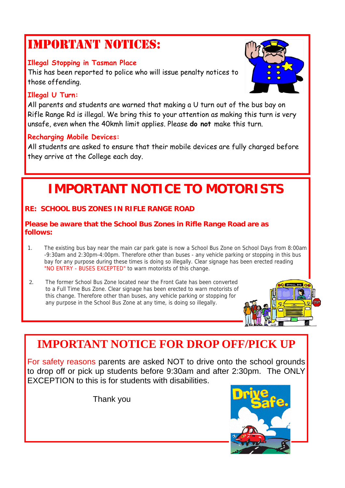# IMPORTANT NOTICES:

### **Illegal Stopping in Tasman Place**

This has been reported to police who will issue penalty notices to those offending.

### **Illegal U Turn:**

All parents and students are warned that making a U turn out of the bus bay on Rifle Range Rd is illegal. We bring this to your attention as making this turn is very unsafe, even when the 40kmh limit applies. Please **do not** make this turn.

### **Recharging Mobile Devices:**

All students are asked to ensure that their mobile devices are fully charged before they arrive at the College each day.

# **IMPORTANT NOTICE TO MOTORISTS**

### **RE: SCHOOL BUS ZONES IN RIFLE RANGE ROAD**

### **Please be aware that the School Bus Zones in Rifle Range Road are as follows:**

- 1. The existing bus bay near the main car park gate is now a School Bus Zone on School Days from 8:00am -9:30am and 2:30pm-4:00pm. Therefore other than buses - any vehicle parking or stopping in this bus bay for any purpose during these times is doing so illegally. Clear signage has been erected reading "NO ENTRY - BUSES EXCEPTED" to warn motorists of this change.
- 2. The former School Bus Zone located near the Front Gate has been converted to a Full Time Bus Zone. Clear signage has been erected to warn motorists of this change. Therefore other than buses, any vehicle parking or stopping for any purpose in the School Bus Zone at any time, is doing so illegally.



# **IMPORTANT NOTICE FOR DROP OFF/PICK UP**

For safety reasons parents are asked NOT to drive onto the school grounds to drop off or pick up students before 9:30am and after 2:30pm. The ONLY EXCEPTION to this is for students with disabilities.

Thank you